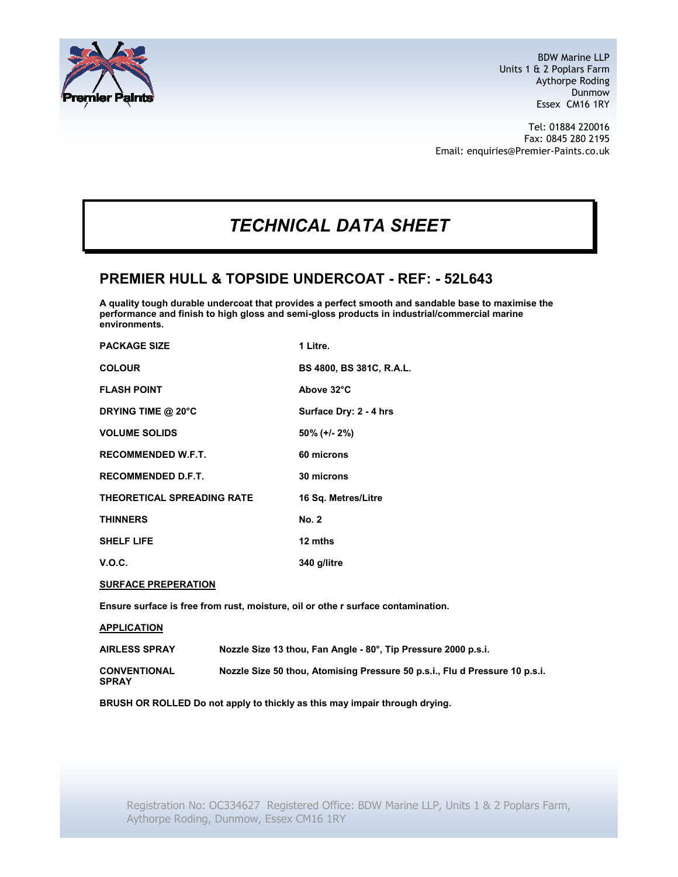

BDW Marine LLP Units 1 & 2 Poplars Farm Aythorpe Roding Dunmow Essex CM16 1RY

 Tel: 01884 220016 Fax: 0845 280 2195 Email: enquiries@Premier-Paints.co.uk

## TECHNICAL DATA SHEET

## PREMIER HULL & TOPSIDE UNDERCOAT - REF: - 52L643

A quality tough durable undercoat that provides a perfect smooth and sandable base to maximise the performance and finish to high gloss and semi-gloss products in industrial/commercial marine environments.

| <b>PACKAGE SIZE</b>               | 1 Litre.                        |
|-----------------------------------|---------------------------------|
| <b>COLOUR</b>                     | <b>BS 4800, BS 381C, R.A.L.</b> |
| <b>FLASH POINT</b>                | Above 32°C                      |
| DRYING TIME @ 20°C                | Surface Dry: 2 - 4 hrs          |
| <b>VOLUME SOLIDS</b>              | $50\%$ (+/- 2%)                 |
| <b>RECOMMENDED W.F.T.</b>         | 60 microns                      |
| <b>RECOMMENDED D.F.T.</b>         | 30 microns                      |
| <b>THEORETICAL SPREADING RATE</b> | 16 Sq. Metres/Litre             |
| <b>THINNERS</b>                   | No. 2                           |
| <b>SHELF LIFE</b>                 | 12 mths                         |
| V.O.C.                            | 340 g/litre                     |

SURFACE PREPERATION

APPLICATION

Ensure surface is free from rust, moisture, oil or othe r surface contamination.

| . <b>.</b>                          |                                                                             |
|-------------------------------------|-----------------------------------------------------------------------------|
| <b>AIRLESS SPRAY</b>                | Nozzle Size 13 thou, Fan Angle - 80°, Tip Pressure 2000 p.s.i.              |
| <b>CONVENTIONAL</b><br><b>SPRAY</b> | Nozzle Size 50 thou, Atomising Pressure 50 p.s.i., Flu d Pressure 10 p.s.i. |

BRUSH OR ROLLED Do not apply to thickly as this may impair through drying.

Registration No: OC334627 Registered Office: BDW Marine LLP, Units 1 & 2 Poplars Farm, Aythorpe Roding, Dunmow, Essex CM16 1RY